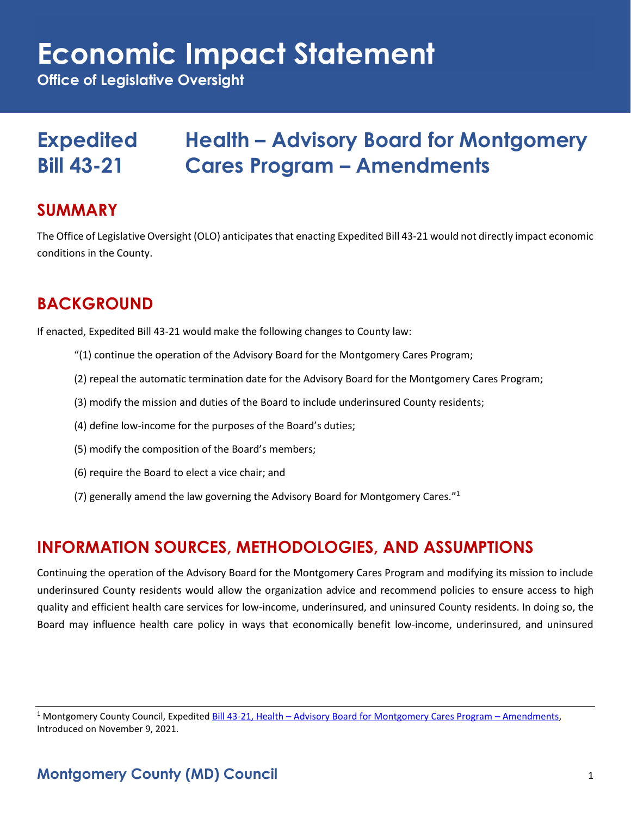## **Economic Impact Statement**

**Office of Legislative Oversight**

## **Expedited Health – Advisory Board for Montgomery Bill 43-21 Cares Program – Amendments**

### **SUMMARY**

The Office of Legislative Oversight (OLO) anticipates that enacting Expedited Bill 43-21 would not directly impact economic conditions in the County.

## **BACKGROUND**

If enacted, Expedited Bill 43-21 would make the following changes to County law:

- "(1) continue the operation of the Advisory Board for the Montgomery Cares Program;
- (2) repeal the automatic termination date for the Advisory Board for the Montgomery Cares Program;
- (3) modify the mission and duties of the Board to include underinsured County residents;
- (4) define low-income for the purposes of the Board's duties;
- (5) modify the composition of the Board's members;
- (6) require the Board to elect a vice chair; and
- (7) generally amend the law governing the Advisory Board for Montgomery Cares."<sup>1</sup>

## **INFORMATION SOURCES, METHODOLOGIES, AND ASSUMPTIONS**

Continuing the operation of the Advisory Board for the Montgomery Cares Program and modifying its mission to include underinsured County residents would allow the organization advice and recommend policies to ensure access to high quality and efficient health care services for low-income, underinsured, and uninsured County residents. In doing so, the Board may influence health care policy in ways that economically benefit low-income, underinsured, and uninsured

<sup>&</sup>lt;sup>1</sup> Montgomery County Council, Expedited Bill 43-21, Health – [Advisory Board for Montgomery Cares Program](https://apps.montgomerycountymd.gov/ccllims/DownloadFilePage?FileName=2733_1_17804_Bill_43-2021_Introduction_20211109.pdf) – Amendments, Introduced on November 9, 2021.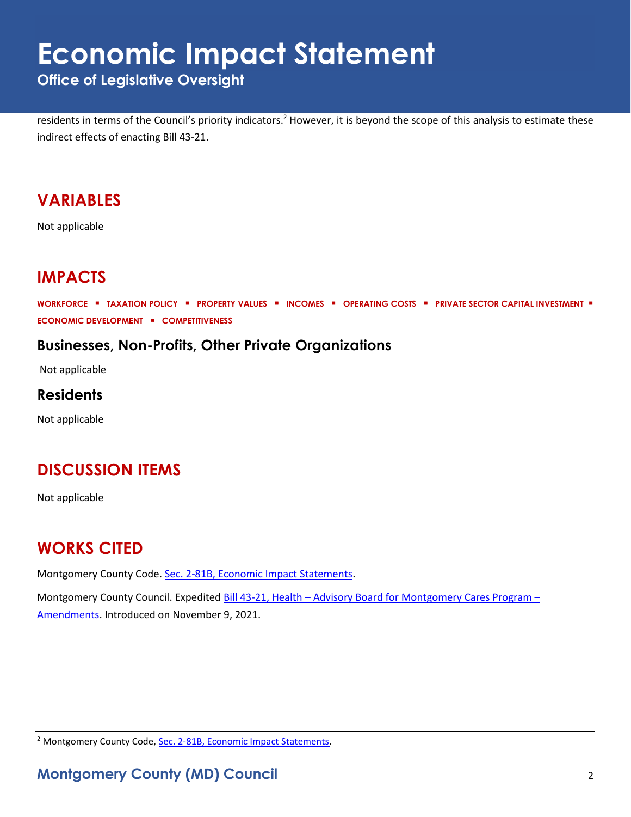## **Economic Impact Statement**

**Office of Legislative Oversight**

residents in terms of the Council's priority indicators.<sup>2</sup> However, it is beyond the scope of this analysis to estimate these indirect effects of enacting Bill 43-21.

### **VARIABLES**

Not applicable

## **IMPACTS**

**WORKFORCE** ▪ **TAXATION POLICY** ▪ **PROPERTY VALUES** ▪ **INCOMES** ▪ **OPERATING COSTS** ▪ **PRIVATE SECTOR CAPITAL INVESTMENT** ▪ **ECONOMIC DEVELOPMENT** ▪ **COMPETITIVENESS**

#### **Businesses, Non-Profits, Other Private Organizations**

Not applicable

#### **Residents**

Not applicable

## **DISCUSSION ITEMS**

Not applicable

## **WORKS CITED**

Montgomery County Code. [Sec. 2-81B, Economic Impact Statements.](https://codelibrary.amlegal.com/codes/montgomerycounty/latest/montgomeryco_md/0-0-0-80894)

Montgomery County Council. Expedited Bill 43-21, Health – [Advisory Board for Montgomery Cares Program](https://apps.montgomerycountymd.gov/ccllims/DownloadFilePage?FileName=2733_1_17804_Bill_43-2021_Introduction_20211109.pdf) – [Amendments.](https://apps.montgomerycountymd.gov/ccllims/DownloadFilePage?FileName=2733_1_17804_Bill_43-2021_Introduction_20211109.pdf) Introduced on November 9, 2021.

<sup>2</sup> Montgomery County Code, [Sec. 2-81B, Economic Impact Statements.](https://codelibrary.amlegal.com/codes/montgomerycounty/latest/montgomeryco_md/0-0-0-80894)

#### **Montgomery County (MD) Council** 2